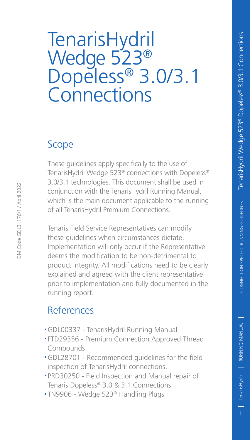# TenarisHydril Wedge 523® Dopeless® 3.0/3.1 **Connections**

### Scope

IDM Code GDL31176/1 / April 2022

DM Code GDL31176/1 / April 2022

These guidelines apply specifically to the use of TenarisHydril Wedge 523® connections with Dopeless® 3.0/3.1 technologies. This document shall be used in conjunction with the TenarisHydril Running Manual, which is the main document applicable to the running of all TenarisHydril Premium Connections.

Tenaris Field Service Representatives can modify these guidelines when circumstances dictate. Implementation will only occur if the Representative deems the modification to be non-detrimental to product integrity. All modifications need to be clearly explained and agreed with the client representative prior to implementation and fully documented in the running report.

### References

- .GDL00337 TenarisHydril Running Manual
- .FTD29356 Premium Connection Approved Thread Compounds
- .GDL28701 Recommended guidelines for the field inspection of TenarisHydril connections.
- .PRD30250 Field Inspection and Manual repair of Tenaris Dopeless® 3.0 & 3.1 Connections.
- .TN9906 Wedge 523® Handling Plugs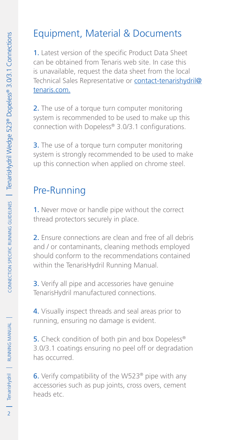# Equipment, Material & Documents

1. Latest version of the specific Product Data Sheet can be obtained from Tenaris web site. In case this is unavailable, request the data sheet from the local Technical Sales Representative or contact-tenarishydril@ tenaris.com.

2. The use of a torque turn computer monitoring system is recommended to be used to make up this connection with Dopeless® 3.0/3.1 configurations.

**3.** The use of a torque turn computer monitoring system is strongly recommended to be used to make up this connection when applied on chrome steel.

### Pre-Running

1. Never move or handle pipe without the correct thread protectors securely in place.

2. Ensure connections are clean and free of all debris and / or contaminants, cleaning methods employed should conform to the recommendations contained within the TenarisHydril Running Manual.

**3.** Verify all pipe and accessories have genuine TenarisHydril manufactured connections.

4. Visually inspect threads and seal areas prior to running, ensuring no damage is evident.

5. Check condition of both pin and box Dopeless<sup>®</sup> 3.0/3.1 coatings ensuring no peel off or degradation has occurred.

6. Verify compatibility of the W523® pipe with any accessories such as pup joints, cross overs, cement heads etc.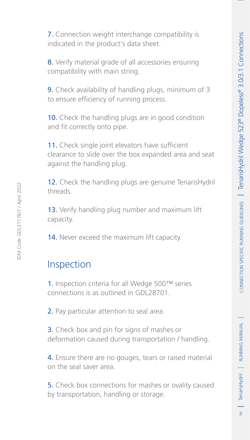3RUNNING MANUAL TenarisHydril

 $\overline{3}$ 

| TenarisHydril | RUNNING MANUAL

7. Connection weight interchange compatibility is indicated in the product's data sheet.

8. Verify material grade of all accessories ensuring compatibility with main string.

9. Check availability of handling plugs, minimum of 3 to ensure efficiency of running process.

10. Check the handling plugs are in good condition and fit correctly onto pipe.

11. Check single joint elevators have sufficient clearance to slide over the box expanded area and seat against the handling plug.

12. Check the handling plugs are genuine TenarisHydril threads.

13. Verify handling plug number and maximum lift capacity.

14. Never exceed the maximum lift capacity.

### Inspection

1. Inspection criteria for all Wedge 500™ series connections is as outlined in GDL28701.

2. Pay particular attention to seal area.

3. Check box and pin for signs of mashes or deformation caused during transportation / handling.

4. Ensure there are no gouges, tears or raised material on the seal saver area.

5. Check box connections for mashes or ovality caused by transportation, handling or storage.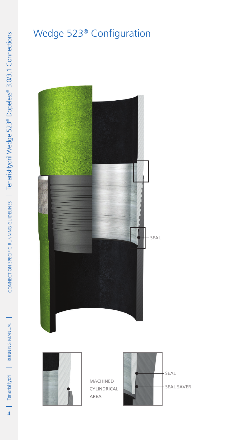# Wedge 523® Configuration





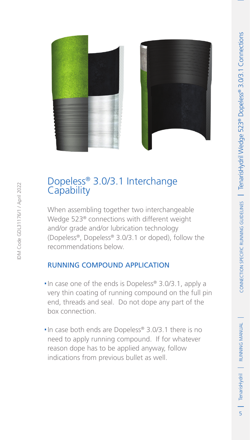5RUNNING MANUAL TenarisHydril RUNNING MANUAL

on | Tenaris Hydril | RUNNING MANUAL



# Dopeless® 3.0/3.1 Interchange Capability

When assembling together two interchangeable Wedge 523® connections with different weight and/or grade and/or lubrication technology (Dopeless®, Dopeless® 3.0/3.1 or doped), follow the recommendations below.

#### Running compound application

- . In case one of the ends is Dopeless® 3.0/3.1, apply a very thin coating of running compound on the full pin end, threads and seal. Do not dope any part of the box connection.
- .In case both ends are Dopeless® 3.0/3.1 there is no need to apply running compound. If for whatever reason dope has to be applied anyway, follow indications from previous bullet as well.

IDM Code GDL31176/1 / April 2022

DM Code GDL31176/1 / April 2022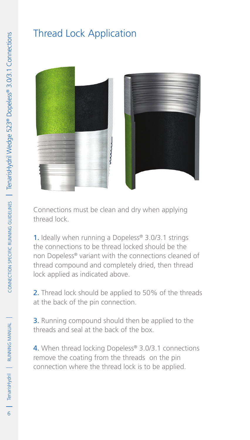### Thread Lock Application





Connections must be clean and dry when applying thread lock.

1. Ideally when running a Dopeless® 3.0/3.1 strings the connections to be thread locked should be the non Dopeless® variant with the connections cleaned of thread compound and completely dried, then thread lock applied as indicated above.

2. Thread lock should be applied to 50% of the threads at the back of the pin connection.

3. Running compound should then be applied to the threads and seal at the back of the box.

4. When thread locking Dopeless® 3.0/3.1 connections remove the coating from the threads on the pin connection where the thread lock is to be applied.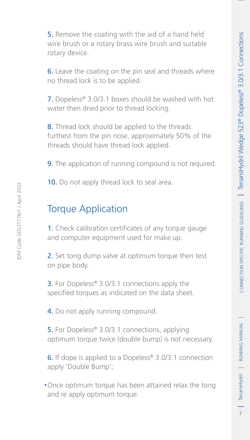5. Remove the coating with the aid of a hand held wire brush or a rotary brass wire brush and suitable 6. Leave the coating on the pin seal and threads where no thread lock is to be applied.

7. Dopeless® 3.0/3.1 boxes should be washed with hot water then dried prior to thread locking.

8. Thread lock should be applied to the threads furthest from the pin nose, approximately 50% of the threads should have thread lock applied.

**9.** The application of running compound is not required.

10. Do not apply thread lock to seal area.

### Torque Application

rotary device.

1. Check calibration certificates of any torque gauge and computer equipment used for make up.

2. Set tong dump valve at optimum torque then test on pipe body.

**3.** For Dopeless® 3.0/3.1 connections apply the specified torques as indicated on the data sheet.

4. Do not apply running compound.

5. For Dopeless<sup>®</sup> 3.0/3.1 connections, applying optimum torque twice (double bump) is not necessary.

6. If dope is applied to a Dopeless® 3.0/3.1 connection apply 'Double Bump';

.Once optimum torque has been attained relax the tong and re apply optimum torque.

DM Code GDL31176/1 / April 2022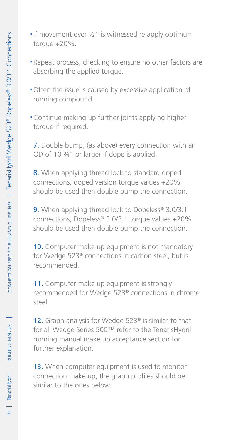- If movement over  $\frac{1}{2}$ " is witnessed re apply optimum torque +20%.
- .Repeat process, checking to ensure no other factors are absorbing the applied torque.
- .Often the issue is caused by excessive application of running compound.
- .Continue making up further joints applying higher torque if required.

7. Double bump, (as above) every connection with an OD of 10 ¾" or larger if dope is applied.

8. When applying thread lock to standard doped connections, doped version torque values +20% should be used then double bump the connection.

9. When applying thread lock to Dopeless<sup>®</sup> 3.0/3.1 connections, Dopeless® 3.0/3.1 torque values +20% should be used then double bump the connection.

10. Computer make up equipment is not mandatory for Wedge 523® connections in carbon steel, but is recommended.

11. Computer make up equipment is strongly recommended for Wedge 523® connections in chrome steel.

12. Graph analysis for Wedge 523® is similar to that for all Wedge Series 500™ refer to the TenarisHydril running manual make up acceptance section for further explanation.

13. When computer equipment is used to monitor connection make up, the graph profiles should be similar to the ones below.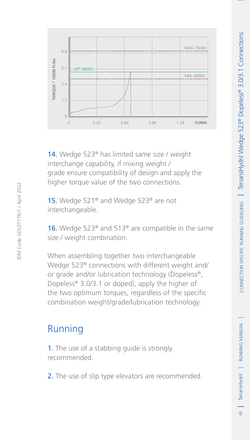

9 | TenarisHydril | RUNNING MANUAL

 $\overline{q}$ 

| TenarisHydril | RUNNING MANUAL



14. Wedge 523<sup>®</sup> has limited same size / weight interchange capability, if mixing weight / grade ensure compatibility of design and apply the higher torque value of the two connections.

15. Wedge 521<sup>®</sup> and Wedge 523<sup>®</sup> are not interchangeable.

16. Wedge 523<sup>®</sup> and 513<sup>®</sup> are compatible in the same size / weight combination.

When assembling together two interchangeable Wedge 523® connections with different weight and/ or grade and/or lubrication technology (Dopeless®, Dopeless® 3.0/3.1 or doped), apply the higher of the two optimum torques, regardless of the specific combination weight/grade/lubrication technology.

### Running

1. The use of a stabbing guide is strongly recommended.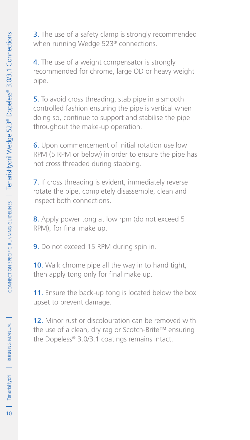**3.** The use of a safety clamp is strongly recommended when running Wedge 523® connections.

4. The use of a weight compensator is strongly recommended for chrome, large OD or heavy weight pipe.

5. To avoid cross threading, stab pipe in a smooth controlled fashion ensuring the pipe is vertical when doing so, continue to support and stabilise the pipe throughout the make-up operation.

6. Upon commencement of initial rotation use low RPM (5 RPM or below) in order to ensure the pipe has not cross threaded during stabbing.

7. If cross threading is evident, immediately reverse rotate the pipe, completely disassemble, clean and inspect both connections.

8. Apply power tong at low rpm (do not exceed 5 RPM), for final make up.

9. Do not exceed 15 RPM during spin in.

10. Walk chrome pipe all the way in to hand tight, then apply tong only for final make up.

11. Ensure the back-up tong is located below the box upset to prevent damage.

12. Minor rust or discolouration can be removed with the use of a clean, dry rag or Scotch-Brite™ ensuring the Dopeless® 3.0/3.1 coatings remains intact.